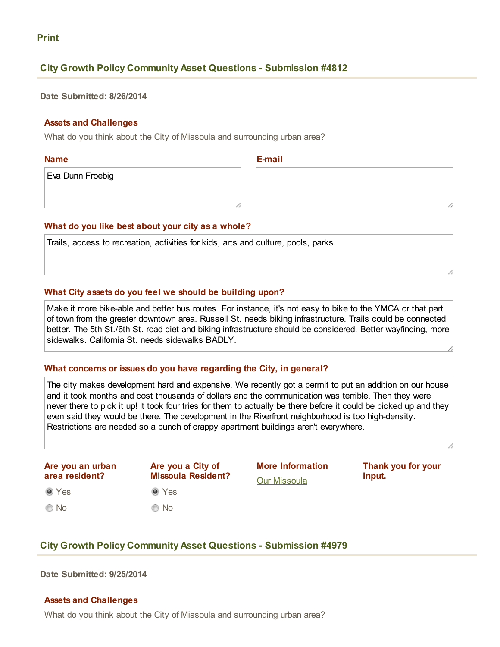# Print

# **City Growth Policy Community Asset Questions - Submission #4812**

Date Submitted: 8/26/2014

## Assets and Challenges

What do you think about the City of Missoula and surrounding urban area?

Name

E-mail

Eva Dunn Froebig

## What do you like best about your city as a whole?

Trails, access to recreation, activities for kids, arts and culture, pools, parks.

## What City assets do you feel we should be building upon?

Make it more bike-able and better bus routes. For instance, it's not easy to bike to the YMCA or that part of town from the greater downtown area. Russell St. needs biking infrastructure. Trails could be connected better. The 5th St./6th St. road diet and biking infrastructure should be considered. Better wayfinding, more sidewalks. California St. needs sidewalks BADLY.

## What concerns or issues do you have regarding the City, in general?

The city makes development hard and expensive. We recently got a permit to put an addition on our house and it took months and cost thousands of dollars and the communication was terrible. Then they were never there to pick it up! It took four tries for them to actually be there before it could be picked up and they even said they would be there. The development in the Riverfront neighborhood is too high-density. Restrictions are needed so a bunch of crappy apartment buildings aren't everywhere.

Are you an urban area resident?

**O** Yes

© No

**O** Yes No Are you a City of Missoula Resident? More Information [Our Missoula](http://www.ci.missoula.mt.us/1748/Our-Missoula)

Thank you for your input.

# **City Growth Policy Community Asset Questions - Submission #4979**

Date Submitted: 9/25/2014

## Assets and Challenges

What do you think about the City of Missoula and surrounding urban area?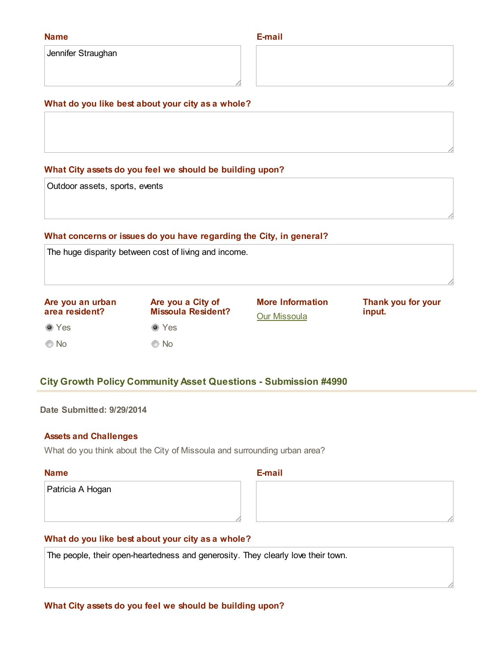#### Name

Jennifer Straughan

## E-mail

# What do you like best about your city as a whole?

## What City assets do you feel we should be building upon?

Outdoor assets, sports, events

## What concerns or issues do you have regarding the City, in general?

The huge disparity between cost of living and income.

Yes © No Are you an urban area resident? Yes © No Are you a City of Missoula Resident? More Information [Our Missoula](http://www.ci.missoula.mt.us/1748/Our-Missoula) Thank you for your input.

# **City Growth Policy Community Asset Questions - Submission #4990**

Date Submitted: 9/29/2014

#### Assets and Challenges

What do you think about the City of Missoula and surrounding urban area?

#### Name

E-mail

Patricia A Hogan

# What do you like best about your city as a whole?

The people, their open-heartedness and generosity. They clearly love their town.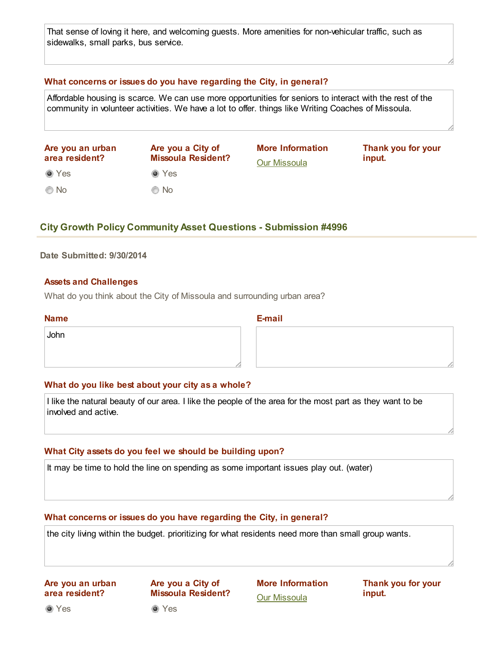That sense of loving it here, and welcoming quests. More amenities for non-vehicular traffic, such as sidewalks, small parks, bus service.

## What concerns or issues do you have regarding the City, in general?

Affordable housing is scarce. We can use more opportunities for seniors to interact with the rest of the community in volunteer activities. We have a lot to offer. things like Writing Coaches of Missoula.

| Are you an urban<br>area resident? | Are you a City of<br><b>Missoula Resident?</b> | <b>More Information</b><br><b>Our Missoula</b> | Thank you for your<br>input. |
|------------------------------------|------------------------------------------------|------------------------------------------------|------------------------------|
| ◉ Yes                              | $\bullet$ Yes                                  |                                                |                              |
| $\odot$ No                         | $\odot$ No                                     |                                                |                              |

# **City Growth Policy Community Asset Questions - Submission #4996**

## Date Submitted: 9/30/2014

## Assets and Challenges

What do you think about the City of Missoula and surrounding urban area?

#### Name

#### **E-mail**

John

#### What do you like best about your city as a whole?

I like the natural beauty of our area. I like the people of the area for the most part as they want to be involved and active.

#### What City assets do you feel we should be building upon?

It may be time to hold the line on spending as some important issues play out. (water)

#### What concerns or issues do you have regarding the City, in general?

the city living within the budget. prioritizing for what residents need more than small group wants.

## Are you an urban area resident?

Are you a City of Missoula Resident? More Information Our [Missoula](http://www.ci.missoula.mt.us/1748/Our-Missoula)

Thank you for your input.

**O** Yes